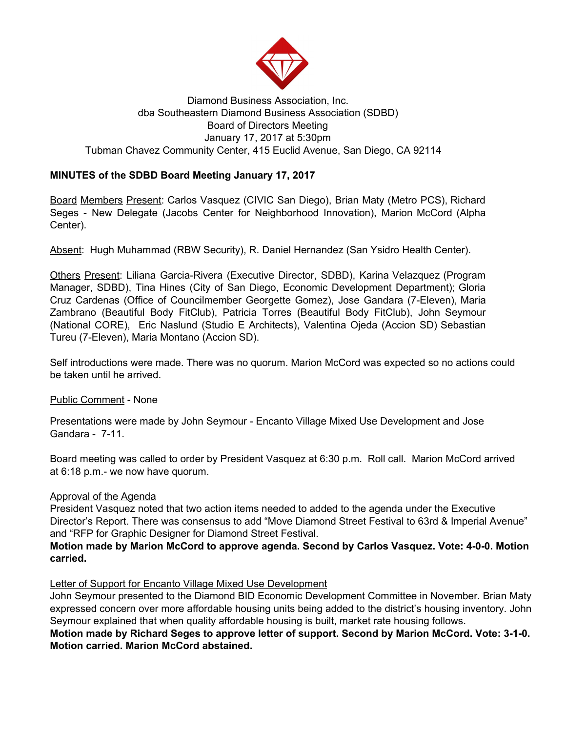

#### Diamond Business Association, Inc. dba Southeastern Diamond Business Association (SDBD) Board of Directors Meeting January 17, 2017 at 5:30pm Tubman Chavez Community Center, 415 Euclid Avenue, San Diego, CA 92114

# **MINUTES of the SDBD Board Meeting January 17, 2017**

Board Members Present: Carlos Vasquez (CIVIC San Diego), Brian Maty (Metro PCS), Richard Seges - New Delegate (Jacobs Center for Neighborhood Innovation), Marion McCord (Alpha Center).

Absent: Hugh Muhammad (RBW Security), R. Daniel Hernandez (San Ysidro Health Center).

Others Present: Liliana Garcia-Rivera (Executive Director, SDBD), Karina Velazquez (Program Manager, SDBD), Tina Hines (City of San Diego, Economic Development Department); Gloria Cruz Cardenas (Office of Councilmember Georgette Gomez), Jose Gandara (7-Eleven), Maria Zambrano (Beautiful Body FitClub), Patricia Torres (Beautiful Body FitClub), John Seymour (National CORE), Eric Naslund (Studio E Architects), Valentina Ojeda (Accion SD) Sebastian Tureu (7-Eleven), Maria Montano (Accion SD).

Self introductions were made. There was no quorum. Marion McCord was expected so no actions could be taken until he arrived.

Public Comment - None

Presentations were made by John Seymour - Encanto Village Mixed Use Development and Jose Gandara - 7-11.

Board meeting was called to order by President Vasquez at 6:30 p.m. Roll call. Marion McCord arrived at 6:18 p.m.- we now have quorum.

#### Approval of the Agenda

President Vasquez noted that two action items needed to added to the agenda under the Executive Director's Report. There was consensus to add "Move Diamond Street Festival to 63rd & Imperial Avenue" and "RFP for Graphic Designer for Diamond Street Festival.

#### **Motion made by Marion McCord to approve agenda. Second by Carlos Vasquez. Vote: 4-0-0. Motion carried.**

#### Letter of Support for Encanto Village Mixed Use Development

John Seymour presented to the Diamond BID Economic Development Committee in November. Brian Maty expressed concern over more affordable housing units being added to the district's housing inventory. John Seymour explained that when quality affordable housing is built, market rate housing follows.

# **Motion made by Richard Seges to approve letter of support. Second by Marion McCord. Vote: 3-1-0. Motion carried. Marion McCord abstained.**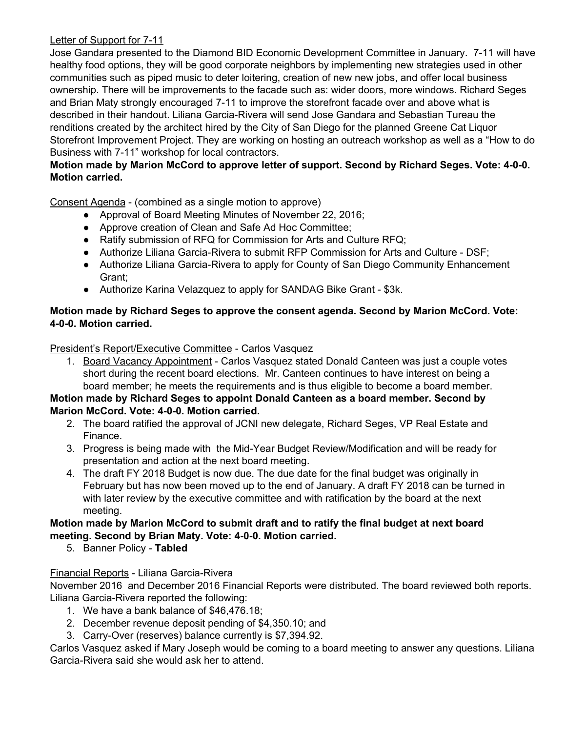# Letter of Support for 7-11

Jose Gandara presented to the Diamond BID Economic Development Committee in January. 7-11 will have healthy food options, they will be good corporate neighbors by implementing new strategies used in other communities such as piped music to deter loitering, creation of new new jobs, and offer local business ownership. There will be improvements to the facade such as: wider doors, more windows. Richard Seges and Brian Maty strongly encouraged 7-11 to improve the storefront facade over and above what is described in their handout. Liliana Garcia-Rivera will send Jose Gandara and Sebastian Tureau the renditions created by the architect hired by the City of San Diego for the planned Greene Cat Liquor Storefront Improvement Project. They are working on hosting an outreach workshop as well as a "How to do Business with 7-11" workshop for local contractors.

# **Motion made by Marion McCord to approve letter of support. Second by Richard Seges. Vote: 4-0-0. Motion carried.**

Consent Agenda - (combined as a single motion to approve)

- Approval of Board Meeting Minutes of November 22, 2016;
- Approve creation of Clean and Safe Ad Hoc Committee;
- Ratify submission of RFQ for Commission for Arts and Culture RFQ;
- Authorize Liliana Garcia-Rivera to submit RFP Commission for Arts and Culture DSF;
- Authorize Liliana Garcia-Rivera to apply for County of San Diego Community Enhancement Grant;
- Authorize Karina Velazquez to apply for SANDAG Bike Grant \$3k.

### **Motion made by Richard Seges to approve the consent agenda. Second by Marion McCord. Vote: 4-0-0. Motion carried.**

President's Report/Executive Committee - Carlos Vasquez

1. Board Vacancy Appointment - Carlos Vasquez stated Donald Canteen was just a couple votes short during the recent board elections. Mr. Canteen continues to have interest on being a board member; he meets the requirements and is thus eligible to become a board member.

# **Motion made by Richard Seges to appoint Donald Canteen as a board member. Second by Marion McCord. Vote: 4-0-0. Motion carried.**

- 2. The board ratified the approval of JCNI new delegate, Richard Seges, VP Real Estate and Finance.
- 3. Progress is being made with the Mid-Year Budget Review/Modification and will be ready for presentation and action at the next board meeting.
- 4. The draft FY 2018 Budget is now due. The due date for the final budget was originally in February but has now been moved up to the end of January. A draft FY 2018 can be turned in with later review by the executive committee and with ratification by the board at the next meeting.

# **Motion made by Marion McCord to submit draft and to ratify the final budget at next board meeting. Second by Brian Maty. Vote: 4-0-0. Motion carried.**

5. Banner Policy - **Tabled**

# Financial Reports - Liliana Garcia-Rivera

November 2016 and December 2016 Financial Reports were distributed. The board reviewed both reports. Liliana Garcia-Rivera reported the following:

- 1. We have a bank balance of \$46,476.18;
- 2. December revenue deposit pending of \$4,350.10; and
- 3. Carry-Over (reserves) balance currently is \$7,394.92.

Carlos Vasquez asked if Mary Joseph would be coming to a board meeting to answer any questions. Liliana Garcia-Rivera said she would ask her to attend.